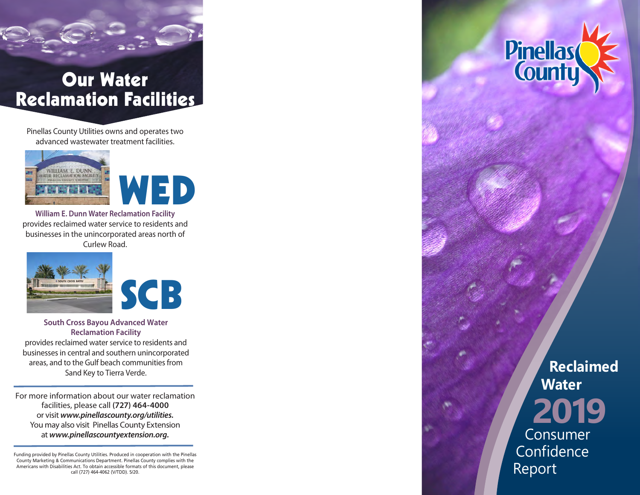# Our Water Reclamation Facilities

Pinellas County Utilities owns and operates two advanced wastewater treatment facilities.



**William E. Dunn Water Reclamation Facility** provides reclaimed water service to residents and businesses in the unincorporated areas north of Curlew Road.





**South Cross Bayou Advanced Water Reclamation Facility**

provides reclaimed water service to residents and businesses in central and southern unincorporated areas, and to the Gulf beach communities from Sand Key to Tierra Verde.

For more information about our water reclamation facilities, please call **(727) 464-4000** or visit *www.pinellascounty.org/utilities.* You may also visit Pinellas County Extension at *www.pinellascountyextension.org.*

Funding provided by Pinellas County Utilities. Produced in cooperation with the Pinellas County Marketing & Communications Department. Pinellas County complies with the Americans with Disabilities Act. To obtain accessible formats of this document, please call (727) 464-4062 (V/TDD). 5/20.



**Reclaimed Water 2019** Consumer **Confidence** 

Report